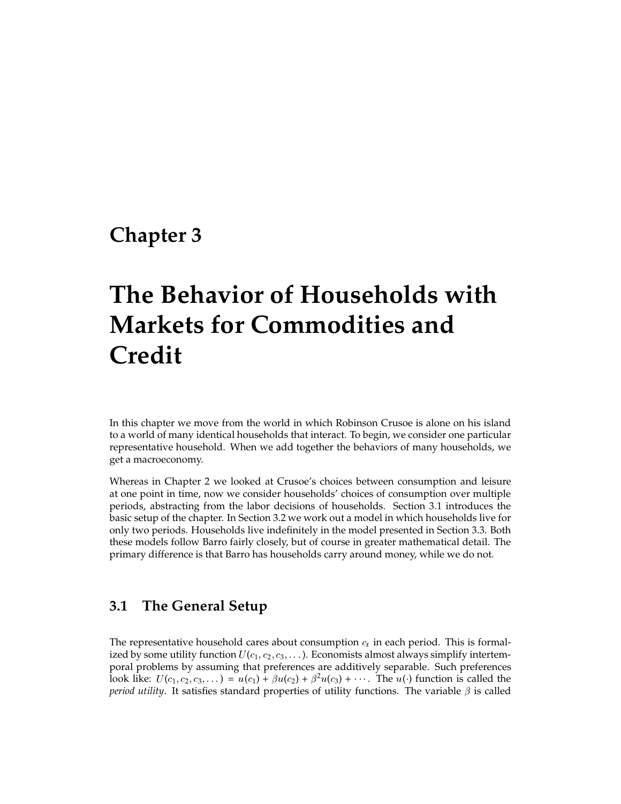# **Chapter 3**

# **The Behavior of Households with Markets for Commodities and Credit**

In this chapter we move from the world in which Robinson Crusoe is alone on his island to a world of many identical households that interact. To begin, we consider one particular representative household. When we add together the behaviors of many households, we get a macroeconomy.

Whereas in Chapter 2 we looked at Crusoe's choices between consumption and leisure at one point in time, now we consider households' choices of consumption over multiple periods, abstracting from the labor decisions of households. Section 3.1 introduces the basic setup of the chapter. In Section 3.2 we work out a model in which households live for only two periods. Households live indefinitely in the model presented in Section 3.3. Both these models follow Barro fairly closely, but of course in greater mathematical detail. The primary difference is that Barro has households carry around money, while we do not.

## **3.1 The General Setup**

The representative household cares about consumption  $c_t$  in each period. This is formalized by some utility function  $U(c_1, c_2, c_3, \ldots)$ . Economists almost always simplify intertemporal problems by assuming that preferences are additively separable. Such preferences look like:  $U(c_1, c_2, c_3, ...) = u(c_1) + \beta u(c_2) + \beta^2 u(c_3) + \cdots$ . The  $u(.)$  function is called the *period utility*. It satisfies standard properties of utility functions. The variable  $\beta$  is called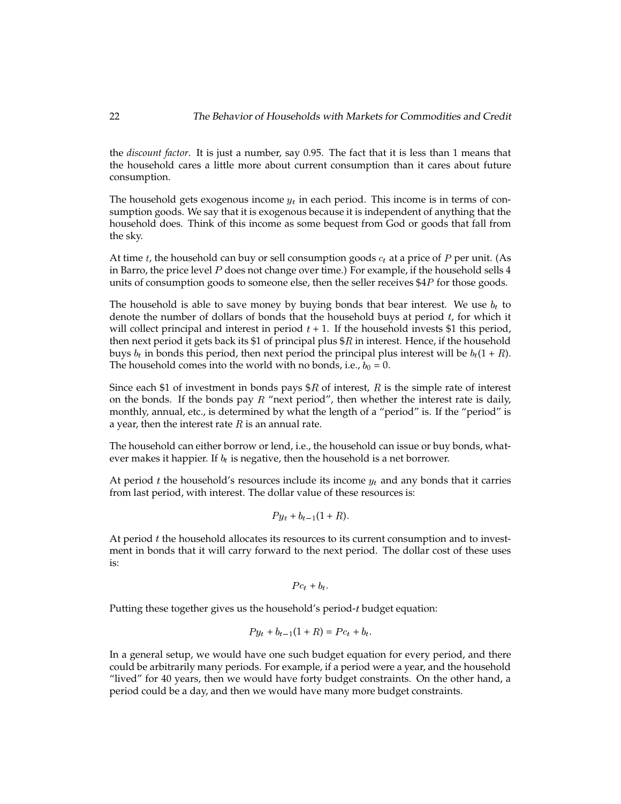the *discount factor*. It is just a number, say 0.95. The fact that it is less than 1 means that the household cares a little more about current consumption than it cares about future consumption.

The household gets exogenous income  $y_t$  in each period. This income is in terms of consumption goods. We say that it is exogenous because it is independent of anything that the household does. Think of this income as some bequest from God or goods that fall from the sky.

At time t, the household can buy or sell consumption goods  $c_t$  at a price of P per unit. (As in Barro, the price level  $P$  does not change over time.) For example, if the household sells  $4$ units of consumption goods to someone else, then the seller receives \$4<sup>P</sup> for those goods.

The household is able to save money by buying bonds that bear interest. We use  $b_t$  to denote the number of dollars of bonds that the household buys at period  $t$ , for which it will collect principal and interest in period  $t + 1$ . If the household invests \$1 this period, then next period it gets back its \$1 of principal plus  $$R$  in interest. Hence, if the household buys  $b_t$  in bonds this period, then next period the principal plus interest will be  $b_t(1 + R)$ . The household comes into the world with no bonds, i.e.,  $b_0 = 0$ .

Since each \$1 of investment in bonds pays  $R$  of interest, R is the simple rate of interest on the bonds. If the bonds pay  $R$  "next period", then whether the interest rate is daily, monthly, annual, etc., is determined by what the length of a "period" is. If the "period" is a year, then the interest rate  $R$  is an annual rate.

The household can either borrow or lend, i.e., the household can issue or buy bonds, whatever makes it happier. If  $b_t$  is negative, then the household is a net borrower.

At period t the household's resources include its income  $y_t$  and any bonds that it carries from last period, with interest. The dollar value of these resources is:

$$
Py_t + b_{t-1}(1+R)
$$

At period  $t$  the household allocates its resources to its current consumption and to investment in bonds that it will carry forward to the next period. The dollar cost of these uses is:

$$
P c_t + b_t.
$$

Putting these together gives us the household's period-<sup>t</sup> budget equation:

$$
Py_t + b_{t-1}(1 + R) = Pc_t + b_t.
$$

In a general setup, we would have one such budget equation for every period, and there could be arbitrarily many periods. For example, if a period were a year, and the household "lived" for 40 years, then we would have forty budget constraints. On the other hand, a period could be a day, and then we would have many more budget constraints.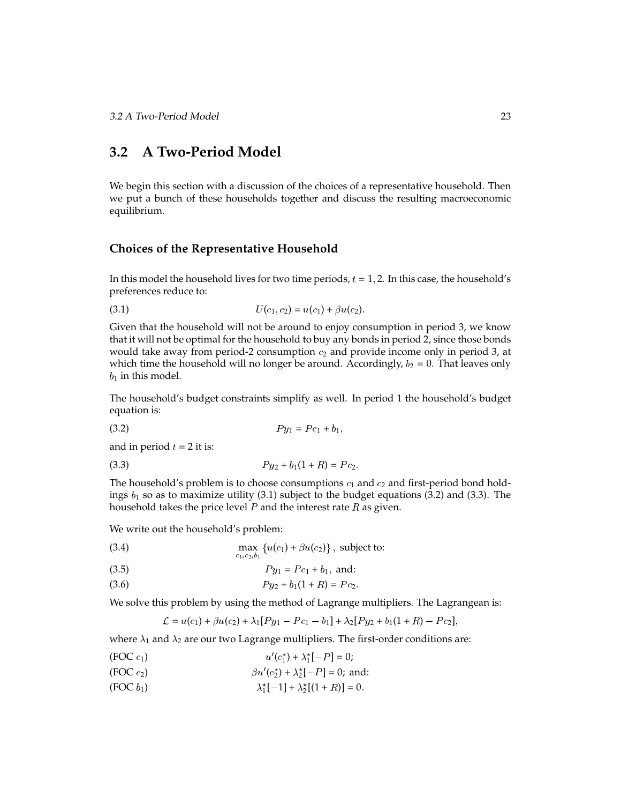# **3.2 A Two-Period Model**

We begin this section with a discussion of the choices of a representative household. Then we put a bunch of these households together and discuss the resulting macroeconomic equilibrium.

#### **Choices of the Representative Household**

In this model the household lives for two time periods,  $t = 1, 2$ . In this case, the household's preferences reduce to:

(3.1) 
$$
U(c_1, c_2) = u(c_1) + \beta u(c_2).
$$

Given that the household will not be around to enjoy consumption in period 3, we know that it will not be optimal for the household to buy any bonds in period 2, since those bonds would take away from period-2 consumption  $c_2$  and provide income only in period 3, at which time the household will no longer be around. Accordingly,  $b_2 = 0$ . That leaves only  $b_1$  in this model.

The household's budget constraints simplify as well. In period 1 the household's budget equation is:

$$
(3.2) \t\t\t P y_1 = P c_1 + b_1,
$$

and in period  $t = 2$  it is:

(3.3)  $Py_2 + b_1(1 + R) = Pc_2$ .

The household's problem is to choose consumptions  $c_1$  and  $c_2$  and first-period bond holdings  $b_1$  so as to maximize utility (3.1) subject to the budget equations (3.2) and (3.3). The household takes the price level  $P$  and the interest rate  $R$  as given.

We write out the household's problem:

(3.4) 
$$
\max_{c_1, c_2, b_1} \{ u(c_1) + \beta u(c_2) \}, \text{ subject to:}
$$

(3.5) 
$$
Py_1 = Pc_1 + b_1, \text{ and:}
$$

$$
(3.6) \t\t\t Py_2 + b_1(1+R) = Pc_2.
$$

We solve this problem by using the method of Lagrange multipliers. The Lagrangean is:

$$
\mathcal{L} = u(c_1) + \beta u(c_2) + \lambda_1 [Py_1 - Pc_1 - b_1] + \lambda_2 [Py_2 + b_1(1 + R) - Pc_2],
$$

where  $\lambda_1$  and  $\lambda_2$  are our two Lagrange multipliers. The first-order conditions are:

- (FOC  $c_1$ )  $u'(c_1^*) + \lambda_1^*[-P] = 0;$
- (FOC  $c_2$ )  $\beta u'(c_2^*) + \lambda_2^*[-P] = 0$ ; and:
- (FOC  $b_1$ )  $\lambda_1^*[-1] + \lambda_2^*[(1+R)] = 0.$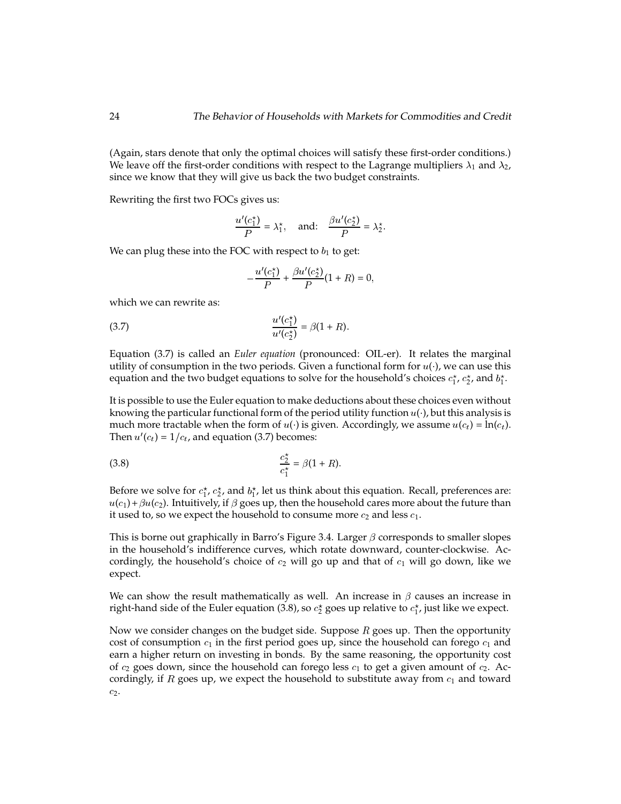(Again, stars denote that only the optimal choices will satisfy these first-order conditions.) We leave off the first-order conditions with respect to the Lagrange multipliers  $\lambda_1$  and  $\lambda_2$ , since we know that they will give us back the two budget constraints.

Rewriting the first two FOCs gives us:

$$
\frac{u'(c_1^*)}{P} = \lambda_1^*, \quad \text{and:} \quad \frac{\beta u'(c_2^*)}{P} = \lambda_2^*.
$$

We can plug these into the FOC with respect to  $b_1$  to get:

$$
-\frac{u'(c_1^*)}{P} + \frac{\beta u'(c_2^*)}{P}(1+R) = 0,
$$

which we can rewrite as:

(3.7) 
$$
\frac{u'(c_1^*)}{u'(c_2^*)} = \beta(1+R).
$$

Equation (3.7) is called an *Euler equation* (pronounced: OIL-er). It relates the marginal utility of consumption in the two periods. Given a functional form for  $u(\cdot)$ , we can use this equation and the two budget equations to solve for the household's choices  $c_1^\star$ ,  $c_2^\star$ , and  $b_1^\star$ .

It is possible to use the Euler equation to make deductions about these choices even without knowing the particular functional form of the period utility function  $u(\cdot)$ , but this analysis is much more tractable when the form of  $u(\cdot)$  is given. Accordingly, we assume  $u(c_t) = \ln(c_t)$ . Then  $u'(c_t) = 1/c_t$ , and equation (3.7) becomes:

(3.8) 
$$
\frac{c_2^*}{c_1^*} = \beta(1+R).
$$

Before we solve for  $c_1^{\star}$ ,  $c_2^{\star}$ , and  $b_1^{\star}$ , let us think about this equation. Recall, preferences are:  $u(c_1) + \beta u(c_2)$ . Intuitively, if  $\beta$  goes up, then the household cares more about the future than it used to, so we expect the household to consume more  $c_2$  and less  $c_1$ .

This is borne out graphically in Barro's Figure 3.4. Larger  $\beta$  corresponds to smaller slopes in the household's indifference curves, which rotate downward, counter-clockwise. Accordingly, the household's choice of  $c_2$  will go up and that of  $c_1$  will go down, like we expect.

We can show the result mathematically as well. An increase in  $\beta$  causes an increase in right-hand side of the Euler equation (3.8), so  $c_2^\star$  goes up relative to  $c_1^\star$ , just like we expect.

Now we consider changes on the budget side. Suppose  $R$  goes up. Then the opportunity cost of consumption  $c_1$  in the first period goes up, since the household can forego  $c_1$  and earn a higher return on investing in bonds. By the same reasoning, the opportunity cost of  $c_2$  goes down, since the household can forego less  $c_1$  to get a given amount of  $c_2$ . Accordingly, if R goes up, we expect the household to substitute away from  $c_1$  and toward  $c_2$ .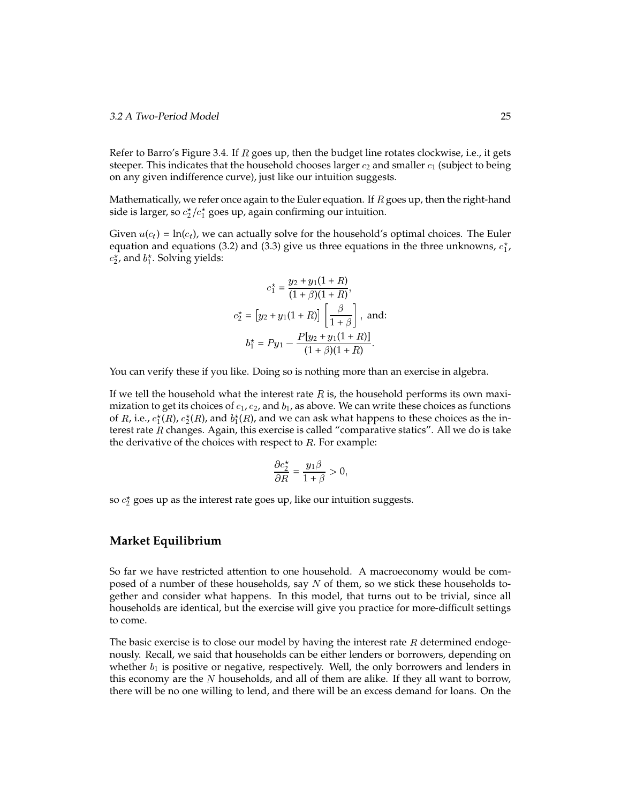Refer to Barro's Figure 3.4. If  $R$  goes up, then the budget line rotates clockwise, i.e., it gets steeper. This indicates that the household chooses larger  $c_2$  and smaller  $c_1$  (subject to being on any given indifference curve), just like our intuition suggests.

Mathematically, we refer once again to the Euler equation. If  $R$  goes up, then the right-hand side is larger, so  $c_2^{\star}/c_1^{\star}$  goes up, again confirming our intuition.

Given  $u(c_t) = \ln(c_t)$ , we can actually solve for the household's optimal choices. The Euler equation and equations (3.2) and (3.3) give us three equations in the three unknowns,  $c_1^{\star}$ ,  $c_2^{\star}$ , and  $b_1^{\star}$ . Solving yields:

$$
c_1^* = \frac{y_2 + y_1(1+R)}{(1+\beta)(1+R)},
$$
  
\n
$$
c_2^* = [y_2 + y_1(1+R)] \left[ \frac{\beta}{1+\beta} \right], \text{ and:}
$$
  
\n
$$
b_1^* = Py_1 - \frac{P[y_2 + y_1(1+R)]}{(1+\beta)(1+R)}.
$$

You can verify these if you like. Doing so is nothing more than an exercise in algebra.

If we tell the household what the interest rate  $R$  is, the household performs its own maximization to get its choices of  $c_1$ ,  $c_2$ , and  $b_1$ , as above. We can write these choices as functions of R, i.e.,  $c_1^{\star}(R)$ ,  $c_2^{\star}(R)$ , and  $b_1^{\star}(R)$ , and we can ask what happens to these choices as the interest rate <sup>R</sup> changes. Again, this exercise is called "comparative statics". All we do is take the derivative of the choices with respect to  $R$ . For example:

$$
\frac{\partial c_2^*}{\partial R} = \frac{y_1 \beta}{1 + \beta} > 0,
$$

so  $c_2^\star$  goes up as the interest rate goes up, like our intuition suggests.

#### **Market Equilibrium**

So far we have restricted attention to one household. A macroeconomy would be composed of a number of these households, say  $N$  of them, so we stick these households together and consider what happens. In this model, that turns out to be trivial, since all households are identical, but the exercise will give you practice for more-difficult settings to come.

The basic exercise is to close our model by having the interest rate  $R$  determined endogenously. Recall, we said that households can be either lenders or borrowers, depending on whether  $b_1$  is positive or negative, respectively. Well, the only borrowers and lenders in this economy are the  $N$  households, and all of them are alike. If they all want to borrow, there will be no one willing to lend, and there will be an excess demand for loans. On the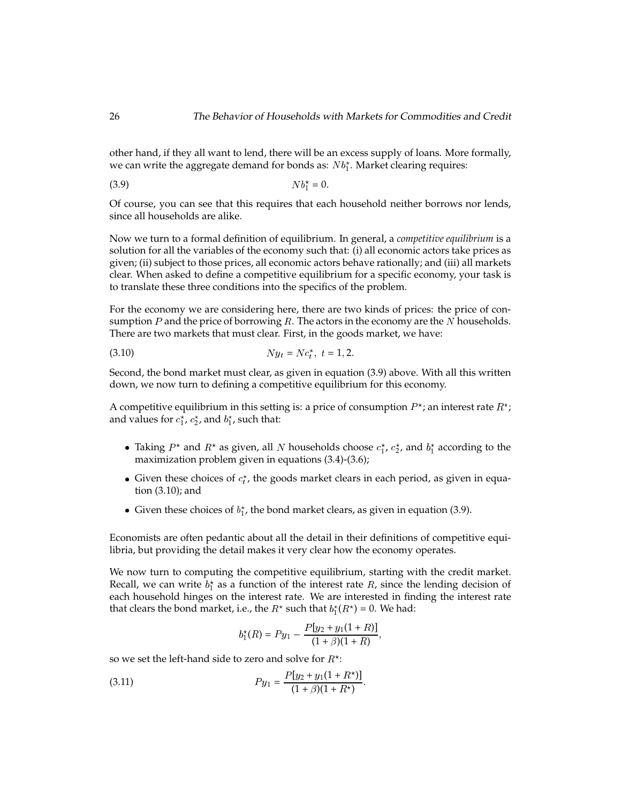other hand, if they all want to lend, there will be an excess supply of loans. More formally, we can write the aggregate demand for bonds as:  $Nb_{1}^{\star}$ . Market clearing requires:

$$
(3.9) \t\t\t Nb_1^* = 0
$$

Of course, you can see that this requires that each household neither borrows nor lends, since all households are alike.

Now we turn to a formal definition of equilibrium. In general, a *competitive equilibrium* is a solution for all the variables of the economy such that: (i) all economic actors take prices as given; (ii) subject to those prices, all economic actors behave rationally; and (iii) all markets clear. When asked to define a competitive equilibrium for a specific economy, your task is to translate these three conditions into the specifics of the problem.

For the economy we are considering here, there are two kinds of prices: the price of consumption  $P$  and the price of borrowing  $R$ . The actors in the economy are the  $N$  households. There are two markets that must clear. First, in the goods market, we have:

$$
(3.10) \t\t Ny_t = Nc_t^*, \ t = 1, 2.
$$

Second, the bond market must clear, as given in equation (3.9) above. With all this written down, we now turn to defining a competitive equilibrium for this economy.

A competitive equilibrium in this setting is: a price of consumption  $P^\star$ ; an interest rate  $R^\star$ ; and values for  $c_1^{\star}$ ,  $c_2^{\star}$ , and  $b_1^{\star}$ , such that:

- Taking  $P^*$  and  $R^*$  as given, all  $N$  households choose  $c_1^*$ ,  $c_2^*$ , and  $b_1^*$  according to the maximization problem given in equations (3.4)-(3.6);
- Given these choices of  $c_t^*$ , the goods market clears in each period, as given in equation (3.10); and
- Given these choices of  $b_1^*$ , the bond market clears, as given in equation (3.9).

Economists are often pedantic about all the detail in their definitions of competitive equilibria, but providing the detail makes it very clear how the economy operates.

We now turn to computing the competitive equilibrium, starting with the credit market. Recall, we can write  $b_1^{\star}$  as a function of the interest rate R, since the lending decision of each household hinges on the interest rate. We are interested in finding the interest rate that clears the bond market, i.e., the  $R^*$  such that  $b_1^*(R^*) = 0$ . We had:

$$
b_1^*(R) = Py_1 - \frac{P[y_2 + y_1(1+R)]}{(1+\beta)(1+R)},
$$

so we set the left-hand side to zero and solve for  $R^{\star}$ :

(3.11) 
$$
Py_1 = \frac{P[y_2 + y_1(1 + R^*)]}{(1 + \beta)(1 + R^*)}.
$$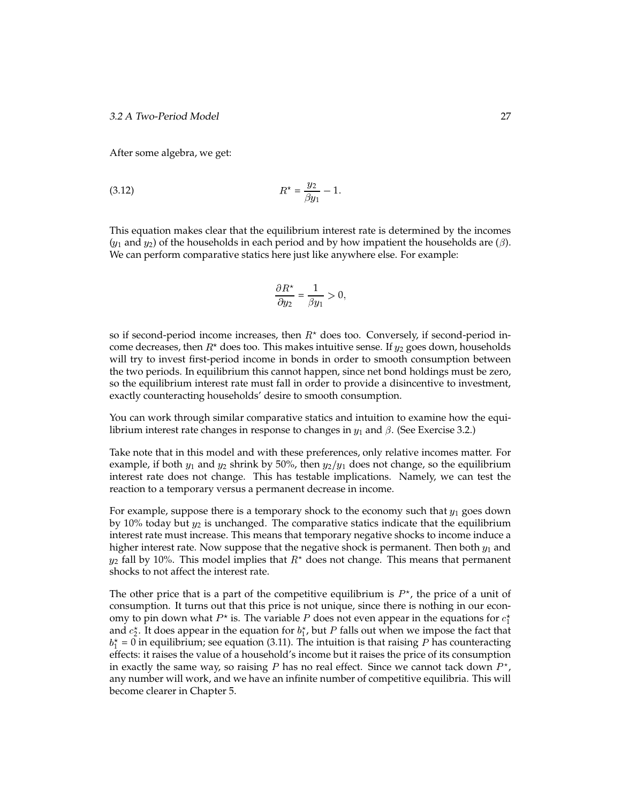After some algebra, we get:

(3.12) 
$$
R^* = \frac{y_2}{\beta y_1} - 1.
$$

This equation makes clear that the equilibrium interest rate is determined by the incomes  $(y_1$  and  $y_2)$  of the households in each period and by how impatient the households are  $(\beta)$ . We can perform comparative statics here just like anywhere else. For example:

$$
\frac{\partial R^*}{\partial y_2} = \frac{1}{\beta y_1} > 0,
$$

so if second-period income increases, then  $R^*$  does too. Conversely, if second-period income decreases, then  $R^{\star}$  does too. This makes intuitive sense. If  $y_2$  goes down, households will try to invest first-period income in bonds in order to smooth consumption between the two periods. In equilibrium this cannot happen, since net bond holdings must be zero, so the equilibrium interest rate must fall in order to provide a disincentive to investment, exactly counteracting households' desire to smooth consumption.

You can work through similar comparative statics and intuition to examine how the equilibrium interest rate changes in response to changes in  $y_1$  and  $\beta$ . (See Exercise 3.2.)

Take note that in this model and with these preferences, only relative incomes matter. For example, if both  $y_1$  and  $y_2$  shrink by 50%, then  $y_2/y_1$  does not change, so the equilibrium interest rate does not change. This has testable implications. Namely, we can test the reaction to a temporary versus a permanent decrease in income.

For example, suppose there is a temporary shock to the economy such that  $y_1$  goes down by 10% today but  $y_2$  is unchanged. The comparative statics indicate that the equilibrium interest rate must increase. This means that temporary negative shocks to income induce a higher interest rate. Now suppose that the negative shock is permanent. Then both  $y_1$  and  $y_2$  fall by 10%. This model implies that  $R^\star$  does not change. This means that permanent shocks to not affect the interest rate.

The other price that is a part of the competitive equilibrium is  $P^*$ , the price of a unit of consumption. It turns out that this price is not unique, since there is nothing in our economy to pin down what  $P^\star$  is. The variable  $P$  does not even appear in the equations for  $c_1^\star$ and  $c_2^\star$ . It does appear in the equation for  $b_1^\star$ , but  $P$  falls out when we impose the fact that  $b_1^\star$  = 0 in equilibrium; see equation (3.11). The intuition is that raising  $P$  has counteracting effects: it raises the value of a household's income but it raises the price of its consumption in exactly the same way, so raising P has no real effect. Since we cannot tack down  $P^*$ , any number will work, and we have an infinite number of competitive equilibria. This will become clearer in Chapter 5.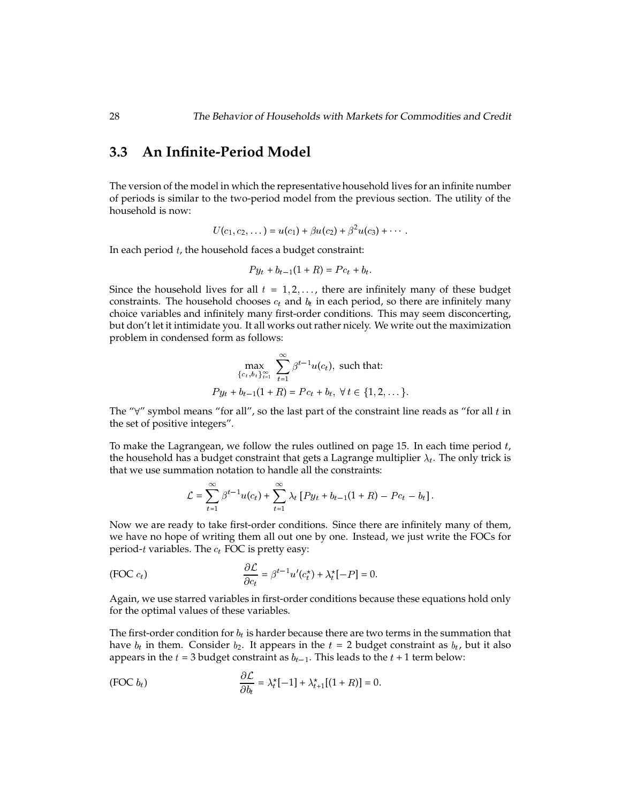# **3.3 An Infinite-Period Model**

The version of the model in which the representative household lives for an infinite number of periods is similar to the two-period model from the previous section. The utility of the household is now:

$$
U(c_1, c_2, \dots) = u(c_1) + \beta u(c_2) + \beta^2 u(c_3) + \dots
$$

In each period  $t$ , the household faces a budget constraint:

$$
Py_t + b_{t-1}(1 + R) = Pc_t + b_t.
$$

Since the household lives for all  $t = 1, 2, \ldots$ , there are infinitely many of these budget constraints. The household chooses  $c_t$  and  $b_t$  in each period, so there are infinitely many choice variables and infinitely many first-order conditions. This may seem disconcerting, but don't let it intimidate you. It all works out rather nicely. We write out the maximization problem in condensed form as follows:

$$
\max_{\{c_t, b_t\}_{t=1}^{\infty}} \sum_{t=1}^{\infty} \beta^{t-1} u(c_t), \text{ such that:}
$$
  

$$
Py_t + b_{t-1}(1+R) = Pc_t + b_t, \ \forall \ t \in \{1, 2, \dots\}.
$$

The " $\forall$ " symbol means "for all", so the last part of the constraint line reads as "for all t in the set of positive integers".

To make the Lagrangean, we follow the rules outlined on page 15. In each time period  $t$ , the household has a budget constraint that gets a Lagrange multiplier  $\lambda_t$ . The only trick is that we use summation notation to handle all the constraints:

$$
\mathcal{L} = \sum_{t=1}^{\infty} \beta^{t-1} u(c_t) + \sum_{t=1}^{\infty} \lambda_t [Py_t + b_{t-1}(1+R) - Pc_t - b_t].
$$

Now we are ready to take first-order conditions. Since there are infinitely many of them, we have no hope of writing them all out one by one. Instead, we just write the FOCs for period-t variables. The  $c_t$  FOC is pretty easy:

(FOC 
$$
c_t
$$
) 
$$
\frac{\partial \mathcal{L}}{\partial c_t} = \beta^{t-1} u'(c_t^*) + \lambda_t^* [-P] = 0.
$$

Again, we use starred variables in first-order conditions because these equations hold only for the optimal values of these variables.

The first-order condition for  $b_t$  is harder because there are two terms in the summation that have  $b_t$  in them. Consider  $b_2$ . It appears in the  $t = 2$  budget constraint as  $b_t$ , but it also appears in the  $t = 3$  budget constraint as  $b_{t-1}$ . This leads to the  $t + 1$  term below:

(FOC 
$$
b_t
$$
) 
$$
\frac{\partial \mathcal{L}}{\partial b_t} = \lambda_t^*[-1] + \lambda_{t+1}^*[(1+R)] = 0.
$$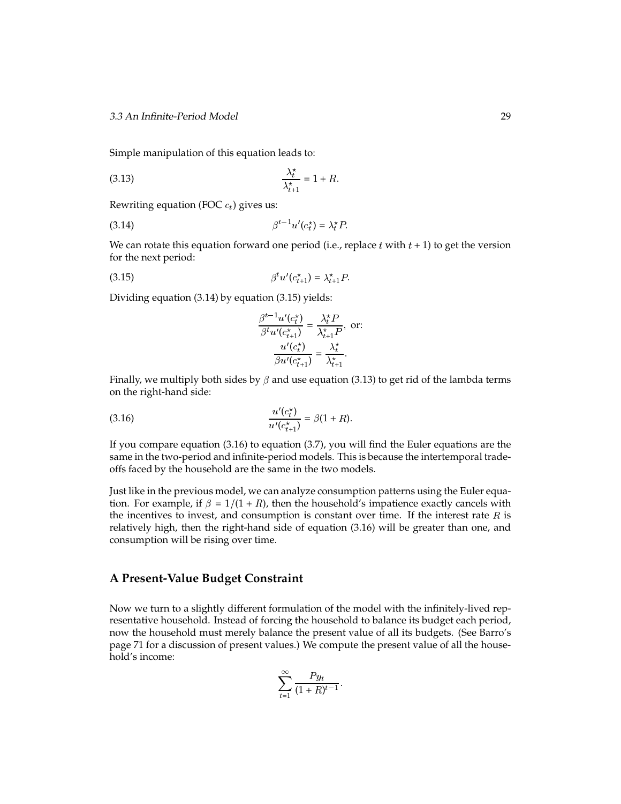Simple manipulation of this equation leads to:

(3.13) 
$$
\frac{\lambda_t^*}{\lambda_{t+1}^*} = 1 + R.
$$

Rewriting equation (FOC  $c_t$ ) gives us:

$$
\beta^{t-1} u'(c_t^*) = \lambda_t^* P.
$$

We can rotate this equation forward one period (i.e., replace  $t$  with  $t + 1$ ) to get the version for the next period:

(3.15) 
$$
\beta^{t} u'(c_{t+1}^{*}) = \lambda_{t+1}^{*} P
$$

Dividing equation (3.14) by equation (3.15) yields:

$$
\frac{\beta^{t-1}u'(c_t^*)}{\beta^t u'(c_{t+1}^*)} = \frac{\lambda_t^* P}{\lambda_{t+1}^* P}, \text{ or:}
$$

$$
\frac{u'(c_t^*)}{\beta u'(c_{t+1}^*)} = \frac{\lambda_t^*}{\lambda_{t+1}^*}.
$$

Finally, we multiply both sides by  $\beta$  and use equation (3.13) to get rid of the lambda terms on the right-hand side:

(3.16) 
$$
\frac{u'(c_t^*)}{u'(c_{t+1}^*)} = \beta(1+R).
$$

If you compare equation (3.16) to equation (3.7), you will find the Euler equations are the same in the two-period and infinite-period models. This is because the intertemporal tradeoffs faced by the household are the same in the two models.

Just like in the previous model, we can analyze consumption patterns using the Euler equation. For example, if  $\beta = 1/(1 + R)$ , then the household's impatience exactly cancels with the incentives to invest, and consumption is constant over time. If the interest rate  $R$  is relatively high, then the right-hand side of equation (3.16) will be greater than one, and consumption will be rising over time.

#### **A Present-Value Budget Constraint**

Now we turn to a slightly different formulation of the model with the infinitely-lived representative household. Instead of forcing the household to balance its budget each period, now the household must merely balance the present value of all its budgets. (See Barro's page 71 for a discussion of present values.) We compute the present value of all the household's income:

$$
\sum_{t=1}^{\infty} \frac{Py_t}{(1+R)^{t-1}}.
$$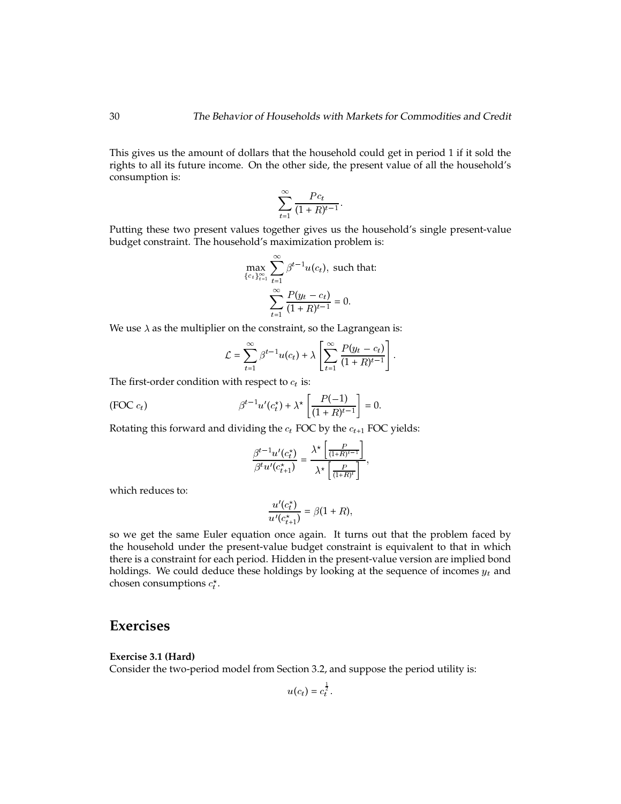This gives us the amount of dollars that the household could get in period 1 if it sold the rights to all its future income. On the other side, the present value of all the household's consumption is:

$$
\sum_{t=1}^{\infty} \frac{P c_t}{(1+R)^{t-1}}.
$$

Putting these two present values together gives us the household's single present-value budget constraint. The household's maximization problem is:

$$
\max_{\{c_t\}_{t=1}^{\infty}} \sum_{t=1}^{\infty} \beta^{t-1} u(c_t), \text{ such that:}
$$

$$
\sum_{t=1}^{\infty} \frac{P(y_t - c_t)}{(1+R)^{t-1}} = 0.
$$

We use  $\lambda$  as the multiplier on the constraint, so the Lagrangean is:

$$
\mathcal{L} = \sum_{t=1}^{\infty} \beta^{t-1} u(c_t) + \lambda \left[ \sum_{t=1}^{\infty} \frac{P(y_t - c_t)}{(1 + R)^{t-1}} \right].
$$

The first-order condition with respect to  $c_t$  is:

(FOC 
$$
c_t
$$
) 
$$
\beta^{t-1} u'(c_t^*) + \lambda^* \left[ \frac{P(-1)}{(1+R)^{t-1}} \right] = 0.
$$

Rotating this forward and dividing the  $c_t$  FOC by the  $c_{t+1}$  FOC yields:

$$
\frac{\beta^{t-1}u'(c_t^*)}{\beta^t u'(c_{t+1}^*)} = \frac{\lambda^* \left[ \frac{P}{(1+R)^{t-1}} \right]}{\lambda^* \left[ \frac{P}{(1+R)^t} \right]},
$$

which reduces to:

$$
\frac{u'(c_t^*)}{u'(c_{t+1}^*)} = \beta(1+R),
$$

so we get the same Euler equation once again. It turns out that the problem faced by the household under the present-value budget constraint is equivalent to that in which there is a constraint for each period. Hidden in the present-value version are implied bond holdings. We could deduce these holdings by looking at the sequence of incomes  $y_t$  and chosen consumptions  $c_t^*$ .

### **Exercises**

#### **Exercise 3.1 (Hard)**

Consider the two-period model from Section 3.2, and suppose the period utility is:

$$
u(c_t) = c_t^{\frac{1}{2}}
$$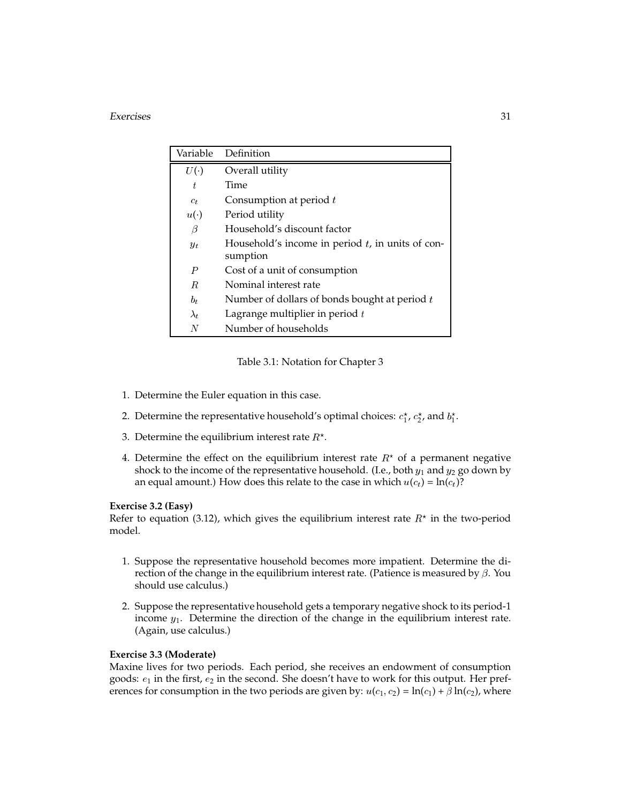#### Exercises 31

| Variable    | Definition                                                      |
|-------------|-----------------------------------------------------------------|
| U(          | Overall utility                                                 |
| t           | Time                                                            |
| $c_t$       | Consumption at period $t$                                       |
| $u(\cdot)$  | Period utility                                                  |
| β           | Household's discount factor                                     |
| $y_t$       | Household's income in period $t$ , in units of con-<br>sumption |
| P           | Cost of a unit of consumption                                   |
| R.          | Nominal interest rate                                           |
| $b_t$       | Number of dollars of bonds bought at period $t$                 |
| $\lambda_t$ | Lagrange multiplier in period $t$                               |
| N           | Number of households                                            |

Table 3.1: Notation for Chapter 3

- 1. Determine the Euler equation in this case.
- 2. Determine the representative household's optimal choices:  $c_1^{\star}$ ,  $c_2^{\star}$ , and  $b_1^{\star}$ .
- 3. Determine the equilibrium interest rate  $R^{\star}.$
- 4. Determine the effect on the equilibrium interest rate  $R^{\star}$  of a permanent negative shock to the income of the representative household. (I.e., both  $y_1$  and  $y_2$  go down by an equal amount.) How does this relate to the case in which  $u(c_t) = \ln(c_t)$ ?

#### **Exercise 3.2 (Easy)**

Refer to equation (3.12), which gives the equilibrium interest rate  $R^{\star}$  in the two-period model.

- 1. Suppose the representative household becomes more impatient. Determine the direction of the change in the equilibrium interest rate. (Patience is measured by  $\beta$ . You should use calculus.)
- 2. Suppose the representative household gets a temporary negative shock to its period-1 income  $y_1$ . Determine the direction of the change in the equilibrium interest rate. (Again, use calculus.)

#### **Exercise 3.3 (Moderate)**

Maxine lives for two periods. Each period, she receives an endowment of consumption goods:  $e_1$  in the first,  $e_2$  in the second. She doesn't have to work for this output. Her preferences for consumption in the two periods are given by:  $u(c_1, c_2) = \ln(c_1) + \beta \ln(c_2)$ , where